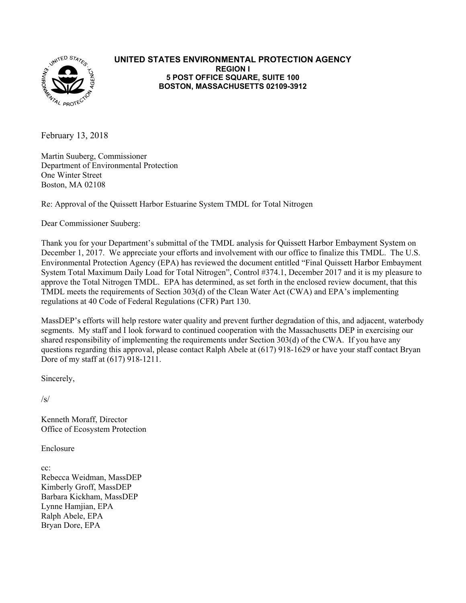

#### **UNITED STATES ENVIRONMENTAL PROTECTION AGENCY REGION I 5 POST OFFICE SQUARE, SUITE 100 BOSTON, MASSACHUSETTS 02109-3912**

February 13, 2018

Martin Suuberg, Commissioner Department of Environmental Protection One Winter Street Boston, MA 02108

Re: Approval of the Quissett Harbor Estuarine System TMDL for Total Nitrogen

Dear Commissioner Suuberg:

Thank you for your Department's submittal of the TMDL analysis for Quissett Harbor Embayment System on December 1, 2017. We appreciate your efforts and involvement with our office to finalize this TMDL. The U.S. Environmental Protection Agency (EPA) has reviewed the document entitled "Final Quissett Harbor Embayment System Total Maximum Daily Load for Total Nitrogen", Control #374.1, December 2017 and it is my pleasure to approve the Total Nitrogen TMDL. EPA has determined, as set forth in the enclosed review document, that this TMDL meets the requirements of Section 303(d) of the Clean Water Act (CWA) and EPA's implementing regulations at 40 Code of Federal Regulations (CFR) Part 130.

MassDEP's efforts will help restore water quality and prevent further degradation of this, and adjacent, waterbody segments. My staff and I look forward to continued cooperation with the Massachusetts DEP in exercising our shared responsibility of implementing the requirements under Section 303(d) of the CWA. If you have any questions regarding this approval, please contact Ralph Abele at (617) 918-1629 or have your staff contact Bryan Dore of my staff at (617) 918-1211.

Sincerely,

 $/s/$ 

Kenneth Moraff, Director Office of Ecosystem Protection

Enclosure

 Kimberly Groff, MassDEP cc: Rebecca Weidman, MassDEP Barbara Kickham, MassDEP Lynne Hamjian, EPA Ralph Abele, EPA Bryan Dore, EPA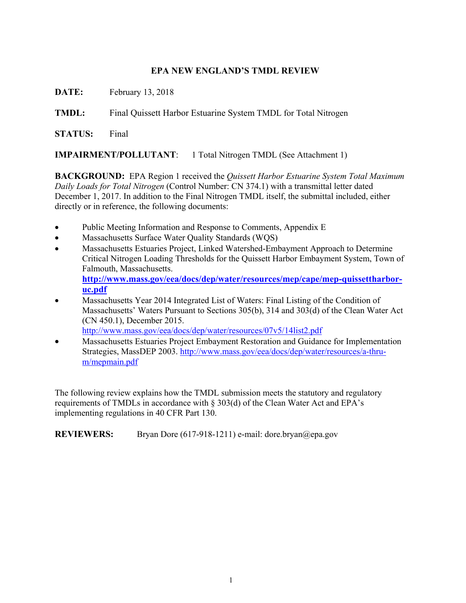### **EPA NEW ENGLAND'S TMDL REVIEW**

**DATE:** February 13, 2018

**TMDL:** Final Quissett Harbor Estuarine System TMDL for Total Nitrogen

**STATUS:** Final

**IMPAIRMENT/POLLUTANT**: 1 Total Nitrogen TMDL (See Attachment 1)

**BACKGROUND:** EPA Region 1 received the *Quissett Harbor Estuarine System Total Maximum Daily Loads for Total Nitrogen* (Control Number: CN 374.1) with a transmittal letter dated December 1, 2017. In addition to the Final Nitrogen TMDL itself, the submittal included, either directly or in reference, the following documents:

- Public Meeting Information and Response to Comments, Appendix E
- Massachusetts Surface Water Quality Standards (WQS)
- Massachusetts Estuaries Project, Linked Watershed-Embayment Approach to Determine Critical Nitrogen Loading Thresholds for the Quissett Harbor Embayment System, Town of Falmouth, Massachusetts. **<http://www.mass.gov/eea/docs/dep/water/resources/mep/cape/mep-quissettharbor>uc.pdf**
- Massachusetts Year 2014 Integrated List of Waters: Final Listing of the Condition of Massachusetts' Waters Pursuant to Sections 305(b), 314 and 303(d) of the Clean Water Act (CN 450.1), December 2015. <http://www.mass.gov/eea/docs/dep/water/resources/07v5/14list2.pdf>

Massachusetts Estuaries Project Embayment Restoration and Guidance for Implementation

Strategies, MassDEP 2003. <http://www.mass.gov/eea/docs/dep/water/resources/a-thru>m/mepmain.pdf

The following review explains how the TMDL submission meets the statutory and regulatory requirements of TMDLs in accordance with § 303(d) of the Clean Water Act and EPA's implementing regulations in 40 CFR Part 130.

**REVIEWERS:** Bryan Dore (617-918-1211) e-mail: [dore.bryan@epa.gov](mailto:dore.bryan@epa.gov)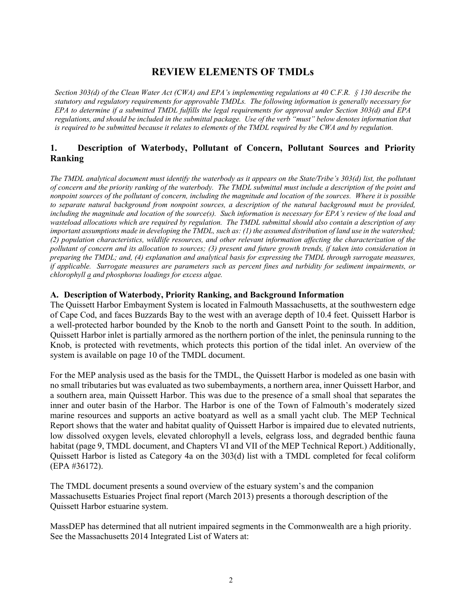# **REVIEW ELEMENTS OF TMDLs**

 *Section 303(d) of the Clean Water Act (CWA) and EPA's implementing regulations at 40 C.F.R. § 130 describe the statutory and regulatory requirements for approvable TMDLs. The following information is generally necessary for EPA to determine if a submitted TMDL fulfills the legal requirements for approval under Section 303(d) and EPA regulations, and should be included in the submittal package. Use of the verb "must" below denotes information that*  is required to be submitted because it relates to elements of the TMDL required by the CWA and by regulation.

## **1. Description of Waterbody, Pollutant of Concern, Pollutant Sources and Priority Ranking**

*The TMDL analytical document must identify the waterbody as it appears on the State/Tribe's 303(d) list, the pollutant of concern and the priority ranking of the waterbody. The TMDL submittal must include a description of the point and nonpoint sources of the pollutant of concern, including the magnitude and location of the sources. Where it is possible to separate natural background from nonpoint sources, a description of the natural background must be provided, including the magnitude and location of the source(s). Such information is necessary for EPA's review of the load and wasteload allocations which are required by regulation. The TMDL submittal should also contain a description of any important assumptions made in developing the TMDL, such as: (1) the assumed distribution of land use in the watershed; (2) population characteristics, wildlife resources, and other relevant information affecting the characterization of the pollutant of concern and its allocation to sources; (3) present and future growth trends, if taken into consideration in preparing the TMDL; and, (4) explanation and analytical basis for expressing the TMDL through surrogate measures, if applicable. Surrogate measures are parameters such as percent fines and turbidity for sediment impairments, or chlorophyll a and phosphorus loadings for excess algae.* 

#### **A. Description of Waterbody, Priority Ranking, and Background Information**

 The Quissett Harbor Embayment System is located in Falmouth Massachusetts, at the southwestern edge Quissett Harbor inlet is partially armored as the northern portion of the inlet, the peninsula running to the of Cape Cod, and faces Buzzards Bay to the west with an average depth of 10.4 feet. Quissett Harbor is a well-protected harbor bounded by the Knob to the north and Gansett Point to the south. In addition, Knob, is protected with revetments, which protects this portion of the tidal inlet. An overview of the system is available on page 10 of the TMDL document.

 For the MEP analysis used as the basis for the TMDL, the Quissett Harbor is modeled as one basin with inner and outer basin of the Harbor. The Harbor is one of the Town of Falmouth's moderately sized no small tributaries but was evaluated as two subembayments, a northern area, inner Quissett Harbor, and a southern area, main Quissett Harbor. This was due to the presence of a small shoal that separates the marine resources and supports an active boatyard as well as a small yacht club. The MEP Technical Report shows that the water and habitat quality of Quissett Harbor is impaired due to elevated nutrients, low dissolved oxygen levels, elevated chlorophyll a levels, eelgrass loss, and degraded benthic fauna habitat (page 9, TMDL document, and Chapters VI and VII of the MEP Technical Report.) Additionally, Quissett Harbor is listed as Category 4a on the 303(d) list with a TMDL completed for fecal coliform (EPA #36172).

The TMDL document presents a sound overview of the estuary system's and the companion Massachusetts Estuaries Project final report (March 2013) presents a thorough description of the Quissett Harbor estuarine system.

 MassDEP has determined that all nutrient impaired segments in the Commonwealth are a high priority. See the Massachusetts 2014 Integrated List of Waters at: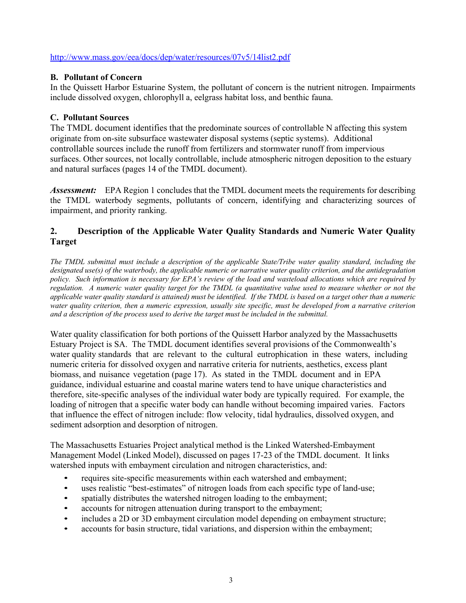#### <http://www.mass.gov/eea/docs/dep/water/resources/07v5/14list2.pdf>

#### **B. Pollutant of Concern**

In the Quissett Harbor Estuarine System, the pollutant of concern is the nutrient nitrogen. Impairments include dissolved oxygen, chlorophyll a, eelgrass habitat loss, and benthic fauna.

### **C. Pollutant Sources**

The TMDL document identifies that the predominate sources of controllable N affecting this system originate from on-site subsurface wastewater disposal systems (septic systems). Additional controllable sources include the runoff from fertilizers and stormwater runoff from impervious surfaces. Other sources, not locally controllable, include atmospheric nitrogen deposition to the estuary and natural surfaces (pages 14 of the TMDL document).

 impairment, and priority ranking. **Assessment:** EPA Region 1 concludes that the TMDL document meets the requirements for describing the TMDL waterbody segments, pollutants of concern, identifying and characterizing sources of

## **2. Description of the Applicable Water Quality Standards and Numeric Water Quality Target**

 *regulation. A numeric water quality target for the TMDL (a quantitative value used to measure whether or not the applicable water quality standard is attained) must be identified. If the TMDL is based on a target other than a numeric*  water quality criterion, then a numeric expression, usually site specific, must be developed from a narrative criterion  *and a description of the process used to derive the target must be included in the submittal. The TMDL submittal must include a description of the applicable State/Tribe water quality standard, including the designated use(s) of the waterbody, the applicable numeric or narrative water quality criterion, and the antidegradation policy. Such information is necessary for EPA's review of the load and wasteload allocations which are required by* 

 therefore, site-specific analyses of the individual water body are typically required. For example, the loading of nitrogen that a specific water body can handle without becoming impaired varies. Factors Water quality classification for both portions of the Quissett Harbor analyzed by the Massachusetts Estuary Project is SA. The TMDL document identifies several provisions of the Commonwealth's water quality standards that are relevant to the cultural eutrophication in these waters, including numeric criteria for dissolved oxygen and narrative criteria for nutrients, aesthetics, excess plant biomass, and nuisance vegetation (page 17). As stated in the TMDL document and in EPA guidance, individual estuarine and coastal marine waters tend to have unique characteristics and that influence the effect of nitrogen include: flow velocity, tidal hydraulics, dissolved oxygen, and sediment adsorption and desorption of nitrogen.

The Massachusetts Estuaries Project analytical method is the Linked Watershed-Embayment Management Model (Linked Model), discussed on pages 17-23 of the TMDL document. It links watershed inputs with embayment circulation and nitrogen characteristics, and:

- requires site-specific measurements within each watershed and embayment;
- uses realistic "best-estimates" of nitrogen loads from each specific type of land-use;
- spatially distributes the watershed nitrogen loading to the embayment;
- accounts for nitrogen attenuation during transport to the embayment;
- includes a 2D or 3D embayment circulation model depending on embayment structure;
- accounts for basin structure, tidal variations, and dispersion within the embayment;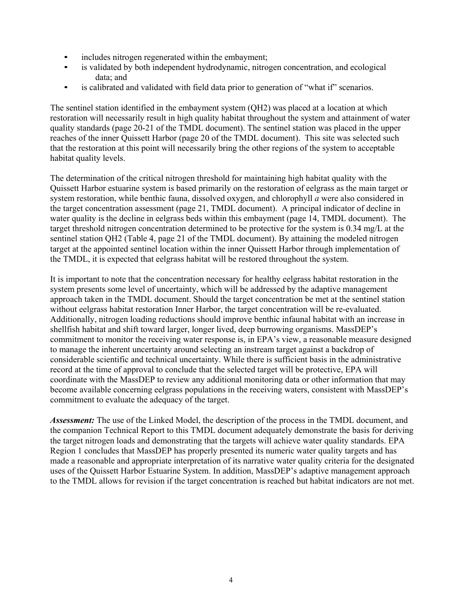- includes nitrogen regenerated within the embayment;
- is validated by both independent hydrodynamic, nitrogen concentration, and ecological data; and
- is calibrated and validated with field data prior to generation of "what if" scenarios.

 The sentinel station identified in the embayment system (QH2) was placed at a location at which habitat quality levels. restoration will necessarily result in high quality habitat throughout the system and attainment of water quality standards (page 20-21 of the TMDL document). The sentinel station was placed in the upper reaches of the inner Quissett Harbor (page 20 of the TMDL document). This site was selected such that the restoration at this point will necessarily bring the other regions of the system to acceptable

The determination of the critical nitrogen threshold for maintaining high habitat quality with the Quissett Harbor estuarine system is based primarily on the restoration of eelgrass as the main target or system restoration, while benthic fauna, dissolved oxygen, and chlorophyll *a* were also considered in the target concentration assessment (page 21, TMDL document). A principal indicator of decline in water quality is the decline in eelgrass beds within this embayment (page 14, TMDL document). The target threshold nitrogen concentration determined to be protective for the system is 0.34 mg/L at the sentinel station QH2 (Table 4, page 21 of the TMDL document). By attaining the modeled nitrogen target at the appointed sentinel location within the inner Quissett Harbor through implementation of the TMDL, it is expected that eelgrass habitat will be restored throughout the system.

It is important to note that the concentration necessary for healthy eelgrass habitat restoration in the system presents some level of uncertainty, which will be addressed by the adaptive management approach taken in the TMDL document. Should the target concentration be met at the sentinel station without eelgrass habitat restoration Inner Harbor, the target concentration will be re-evaluated. Additionally, nitrogen loading reductions should improve benthic infaunal habitat with an increase in shellfish habitat and shift toward larger, longer lived, deep burrowing organisms. MassDEP's commitment to monitor the receiving water response is, in EPA's view, a reasonable measure designed to manage the inherent uncertainty around selecting an instream target against a backdrop of considerable scientific and technical uncertainty. While there is sufficient basis in the administrative record at the time of approval to conclude that the selected target will be protective, EPA will coordinate with the MassDEP to review any additional monitoring data or other information that may become available concerning eelgrass populations in the receiving waters, consistent with MassDEP's commitment to evaluate the adequacy of the target.

*Assessment:* The use of the Linked Model, the description of the process in the TMDL document, and the companion Technical Report to this TMDL document adequately demonstrate the basis for deriving the target nitrogen loads and demonstrating that the targets will achieve water quality standards. EPA Region 1 concludes that MassDEP has properly presented its numeric water quality targets and has made a reasonable and appropriate interpretation of its narrative water quality criteria for the designated uses of the Quissett Harbor Estuarine System. In addition, MassDEP's adaptive management approach to the TMDL allows for revision if the target concentration is reached but habitat indicators are not met.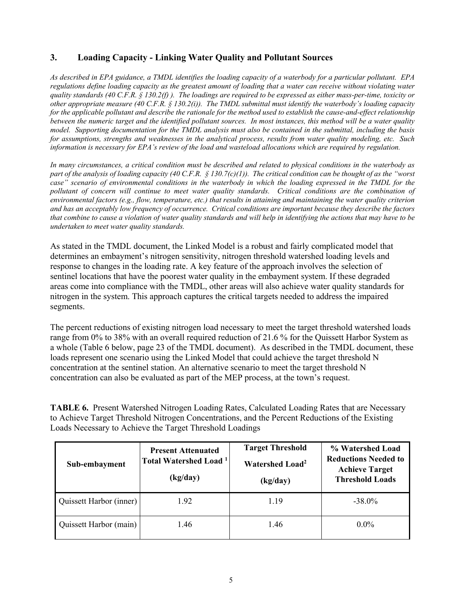## **3. Loading Capacity - Linking Water Quality and Pollutant Sources**

*As described in EPA guidance, a TMDL identifies the loading capacity of a waterbody for a particular pollutant. EPA regulations define loading capacity as the greatest amount of loading that a water can receive without violating water quality standards (40 C.F.R. § 130.2(f) ). The loadings are required to be expressed as either mass-per-time, toxicity or other appropriate measure (40 C.F.R. § 130.2(i)). The TMDL submittal must identify the waterbody's loading capacity for the applicable pollutant and describe the rationale for the method used to establish the cause-and-effect relationship between the numeric target and the identified pollutant sources. In most instances, this method will be a water quality model. Supporting documentation for the TMDL analysis must also be contained in the submittal, including the basis for assumptions, strengths and weaknesses in the analytical process, results from water quality modeling, etc. Such information is necessary for EPA's review of the load and wasteload allocations which are required by regulation.* 

 *In many circumstances, a critical condition must be described and related to physical conditions in the waterbody as part of the analysis of loading capacity (40 C.F.R. § 130.7(c)(1)). The critical condition can be thought of as the "worst environmental factors (e.g., flow, temperature, etc.) that results in attaining and maintaining the water quality criterion that combine to cause a violation of water quality standards and will help in identifying the actions that may have to be*  case" scenario of environmental conditions in the waterbody in which the loading expressed in the TMDL for the pollutant of concern will continue to meet water quality standards. Critical conditions are the combination of *and has an acceptably low frequency of occurrence. Critical conditions are important because they describe the factors undertaken to meet water quality standards.* 

As stated in the TMDL document, the Linked Model is a robust and fairly complicated model that determines an embayment's nitrogen sensitivity, nitrogen threshold watershed loading levels and response to changes in the loading rate. A key feature of the approach involves the selection of sentinel locations that have the poorest water quality in the embayment system. If these degraded areas come into compliance with the TMDL, other areas will also achieve water quality standards for nitrogen in the system. This approach captures the critical targets needed to address the impaired segments.

The percent reductions of existing nitrogen load necessary to meet the target threshold watershed loads range from 0% to 38% with an overall required reduction of 21.6 % for the Quissett Harbor System as a whole (Table 6 below, page 23 of the TMDL document). As described in the TMDL document, these loads represent one scenario using the Linked Model that could achieve the target threshold N concentration at the sentinel station. An alternative scenario to meet the target threshold N concentration can also be evaluated as part of the MEP process, at the town's request.

**TABLE 6.** Present Watershed Nitrogen Loading Rates, Calculated Loading Rates that are Necessary to Achieve Target Threshold Nitrogen Concentrations, and the Percent Reductions of the Existing Loads Necessary to Achieve the Target Threshold Loadings

| Sub-embayment           | <b>Present Attenuated</b><br><b>Total Watershed Load</b> <sup>1</sup><br>(kg/day) | <b>Target Threshold</b><br><b>Watershed Load<sup>2</sup></b><br>(kg/day) | % Watershed Load<br><b>Reductions Needed to</b><br><b>Achieve Target</b><br><b>Threshold Loads</b> |  |
|-------------------------|-----------------------------------------------------------------------------------|--------------------------------------------------------------------------|----------------------------------------------------------------------------------------------------|--|
| Quissett Harbor (inner) | 1.92                                                                              | 1.19                                                                     | $-38.0\%$                                                                                          |  |
| Quissett Harbor (main)  | 1.46                                                                              | 1.46                                                                     | $0.0\%$                                                                                            |  |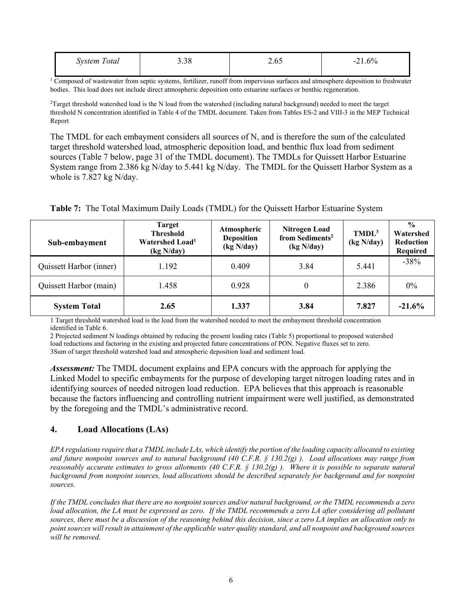| $\mathbf{r}$<br>'otal<br>Svstem | 20<br>9.90 |  | 60/<br>-<br>----- |
|---------------------------------|------------|--|-------------------|
|                                 |            |  |                   |

<sup>1</sup> Composed of wastewater from septic systems, fertilizer, runoff from impervious surfaces and atmosphere deposition to freshwater bodies. This load does not include direct atmospheric deposition onto estuarine surfaces or benthic regeneration.

<sup>2</sup>Target threshold watershed load is the N load from the watershed (including natural background) needed to meet the target threshold N concentration identified in Table 4 of the TMDL document. Taken from Tables ES-2 and VIII-3 in the MEP Technical Report

 whole is 7.827 kg N/day. The TMDL for each embayment considers all sources of N, and is therefore the sum of the calculated target threshold watershed load, atmospheric deposition load, and benthic flux load from sediment sources (Table 7 below, page 31 of the TMDL document). The TMDLs for Quissett Harbor Estuarine System range from 2.386 kg N/day to 5.441 kg N/day. The TMDL for the Quissett Harbor System as a

|  |  |  | Table 7: The Total Maximum Daily Loads (TMDL) for the Quissett Harbor Estuarine System |  |  |  |  |  |  |  |  |
|--|--|--|----------------------------------------------------------------------------------------|--|--|--|--|--|--|--|--|
|--|--|--|----------------------------------------------------------------------------------------|--|--|--|--|--|--|--|--|

| Sub-embayment           | <b>Target</b><br><b>Threshold</b><br>Watershed Load <sup>1</sup><br>(kg N/day) | Atmospheric<br><b>Deposition</b><br>(kg N/day) | <b>Nitrogen Load</b><br>from Sediments <sup>2</sup><br>(kg N/day) |       | $\frac{0}{0}$<br>Watershed<br>Reduction<br>Required |
|-------------------------|--------------------------------------------------------------------------------|------------------------------------------------|-------------------------------------------------------------------|-------|-----------------------------------------------------|
| Quissett Harbor (inner) | 1.192                                                                          | 0.409                                          | 3.84                                                              | 5.441 | $-38%$                                              |
| Quissett Harbor (main)  | 1.458                                                                          | 0.928                                          |                                                                   | 2.386 | $0\%$                                               |
| <b>System Total</b>     | 2.65                                                                           | 1.337                                          | 3.84                                                              | 7.827 | $-21.6%$                                            |

 1 Target threshold watershed load is the load from the watershed needed to meet the embayment threshold concentration identified in Table 6.

 load reductions and factoring in the existing and projected future concentrations of PON. Negative fluxes set to zero. 2 Projected sediment N loadings obtained by reducing the present loading rates (Table 5) proportional to proposed watershed 3Sum of target threshold watershed load and atmospheric deposition load and sediment load.

*Assessment:* The TMDL document explains and EPA concurs with the approach for applying the Linked Model to specific embayments for the purpose of developing target nitrogen loading rates and in identifying sources of needed nitrogen load reduction. EPA believes that this approach is reasonable because the factors influencing and controlling nutrient impairment were well justified, as demonstrated by the foregoing and the TMDL's administrative record.

#### **4. Load Allocations (LAs)**

*reasonably accurate estimates to gross allotments (40 C.F.R. § 130.2(g)). Where it is possible to separate natural* background from nonpoint sources, load allocations should be described separately for background and for nonpoint *EPA regulations require that a TMDL include LAs, which identify the portion of the loading capacity allocated to existing and future nonpoint sources and to natural background (40 C.F.R. § 130.2(g) ). Load allocations may range from sources.* 

load allocation, the LA must be expressed as zero. If the TMDL recommends a zero LA after considering all pollutant  *point sources will result in attainment of the applicable water quality standard, and all nonpoint and background sources If the TMDL concludes that there are no nonpoint sources and/or natural background, or the TMDL recommends a zero sources, there must be a discussion of the reasoning behind this decision, since a zero LA implies an allocation only to will be removed.*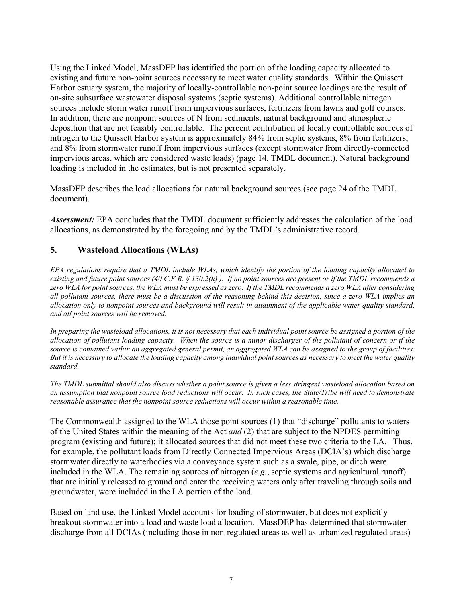nitrogen to the Quissett Harbor system is approximately 84% from septic systems, 8% from fertilizers, Using the Linked Model, MassDEP has identified the portion of the loading capacity allocated to existing and future non-point sources necessary to meet water quality standards. Within the Quissett Harbor estuary system, the majority of locally-controllable non-point source loadings are the result of on-site subsurface wastewater disposal systems (septic systems). Additional controllable nitrogen sources include storm water runoff from impervious surfaces, fertilizers from lawns and golf courses. In addition, there are nonpoint sources of N from sediments, natural background and atmospheric deposition that are not feasibly controllable. The percent contribution of locally controllable sources of and 8% from stormwater runoff from impervious surfaces (except stormwater from directly-connected impervious areas, which are considered waste loads) (page 14, TMDL document). Natural background loading is included in the estimates, but is not presented separately.

MassDEP describes the load allocations for natural background sources (see page 24 of the TMDL document).

*Assessment:* EPA concludes that the TMDL document sufficiently addresses the calculation of the load allocations, as demonstrated by the foregoing and by the TMDL's administrative record.

### **5. Wasteload Allocations (WLAs)**

*EPA regulations require that a TMDL include WLAs, which identify the portion of the loading capacity allocated to existing and future point sources (40 C.F.R. § 130.2(h) ). If no point sources are present or if the TMDL recommends a zero WLA for point sources, the WLA must be expressed as zero. If the TMDL recommends a zero WLA after considering all pollutant sources, there must be a discussion of the reasoning behind this decision, since a zero WLA implies an allocation only to nonpoint sources and background will result in attainment of the applicable water quality standard, and all point sources will be removed.* 

 *allocation of pollutant loading capacity. When the source is a minor discharger of the pollutant of concern or if the*  source is contained within an aggregated general permit, an aggregated WLA can be assigned to the group of facilities. *In preparing the wasteload allocations, it is not necessary that each individual point source be assigned a portion of the But it is necessary to allocate the loading capacity among individual point sources as necessary to meet the water quality standard.* 

 *an assumption that nonpoint source load reductions will occur. In such cases, the State/Tribe will need to demonstrate The TMDL submittal should also discuss whether a point source is given a less stringent wasteload allocation based on reasonable assurance that the nonpoint source reductions will occur within a reasonable time.* 

 program (existing and future); it allocated sources that did not meet these two criteria to the LA. Thus, The Commonwealth assigned to the WLA those point sources (1) that "discharge" pollutants to waters of the United States within the meaning of the Act *and* (2) that are subject to the NPDES permitting for example, the pollutant loads from Directly Connected Impervious Areas (DCIA's) which discharge stormwater directly to waterbodies via a conveyance system such as a swale, pipe, or ditch were included in the WLA. The remaining sources of nitrogen (*e.g.*, septic systems and agricultural runoff) that are initially released to ground and enter the receiving waters only after traveling through soils and groundwater, were included in the LA portion of the load.

Based on land use, the Linked Model accounts for loading of stormwater, but does not explicitly breakout stormwater into a load and waste load allocation. MassDEP has determined that stormwater discharge from all DCIAs (including those in non-regulated areas as well as urbanized regulated areas)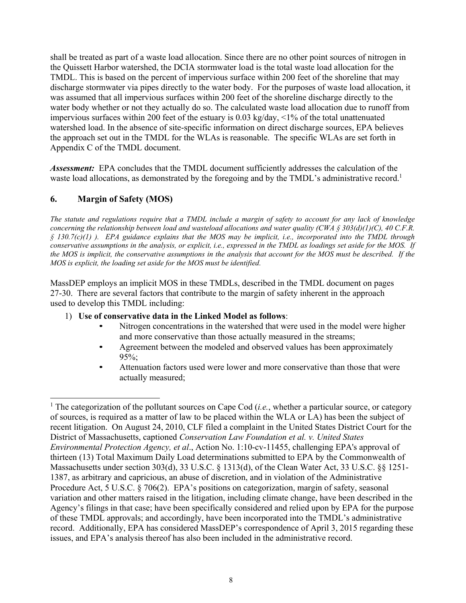shall be treated as part of a waste load allocation. Since there are no other point sources of nitrogen in the Quissett Harbor watershed, the DCIA stormwater load is the total waste load allocation for the TMDL. This is based on the percent of impervious surface within 200 feet of the shoreline that may discharge stormwater via pipes directly to the water body. For the purposes of waste load allocation, it was assumed that all impervious surfaces within 200 feet of the shoreline discharge directly to the water body whether or not they actually do so. The calculated waste load allocation due to runoff from impervious surfaces within 200 feet of the estuary is 0.03 kg/day, <1% of the total unattenuated watershed load. In the absence of site-specific information on direct discharge sources, EPA believes the approach set out in the TMDL for the WLAs is reasonable. The specific WLAs are set forth in Appendix C of the TMDL document.

 *Assessment:* EPA concludes that the TMDL document sufficiently addresses the calculation of the waste load allocations, as demonstrated by the foregoing and by the TMDL's administrative record.<sup>1</sup>

### **6. Margin of Safety (MOS)**

 $\overline{a}$ 

 *conservative assumptions in the analysis, or explicit, i.e., expressed in the TMDL as loadings set aside for the MOS. If the MOS is implicit, the conservative assumptions in the analysis that account for the MOS must be described. If the MOS is explicit, the loading set aside for the MOS must be identified. The statute and regulations require that a TMDL include a margin of safety to account for any lack of knowledge concerning the relationship between load and wasteload allocations and water quality (CWA § 303(d)(1)(C), 40 C.F.R. § 130.7(c)(1) ). EPA guidance explains that the MOS may be implicit, i.e., incorporated into the TMDL through* 

MassDEP employs an implicit MOS in these TMDLs, described in the TMDL document on pages 27-30. There are several factors that contribute to the margin of safety inherent in the approach used to develop this TMDL including:

- 1) **Use of conservative data in the Linked Model as follows**:
	- Nitrogen concentrations in the watershed that were used in the model were higher and more conservative than those actually measured in the streams;
	- Agreement between the modeled and observed values has been approximately 95%;
	- Attenuation factors used were lower and more conservative than those that were actually measured;

<sup>&</sup>lt;sup>1</sup> The categorization of the pollutant sources on Cape Cod (*i.e.*, whether a particular source, or category of sources, is required as a matter of law to be placed within the WLA or LA) has been the subject of recent litigation. On August 24, 2010, CLF filed a complaint in the United States District Court for the District of Massachusetts, captioned *Conservation Law Foundation et al. v. United States Environmental Protection Agency, et al*., Action No. 1:10-cv-11455, challenging EPA's approval of thirteen (13) Total Maximum Daily Load determinations submitted to EPA by the Commonwealth of Massachusetts under section 303(d), 33 U.S.C. § 1313(d), of the Clean Water Act, 33 U.S.C. §§ 1251- 1387, as arbitrary and capricious, an abuse of discretion, and in violation of the Administrative Procedure Act, 5 U.S.C. § 706(2). EPA's positions on categorization, margin of safety, seasonal variation and other matters raised in the litigation, including climate change, have been described in the Agency's filings in that case; have been specifically considered and relied upon by EPA for the purpose of these TMDL approvals; and accordingly, have been incorporated into the TMDL's administrative record. Additionally, EPA has considered MassDEP's correspondence of April 3, 2015 regarding these issues, and EPA's analysis thereof has also been included in the administrative record.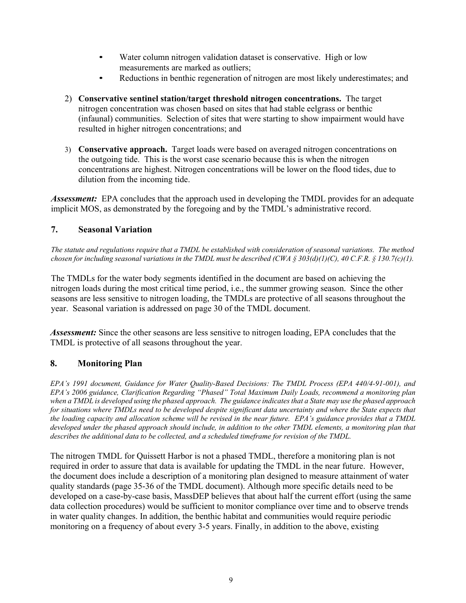- Water column nitrogen validation dataset is conservative. High or low measurements are marked as outliers;
- Reductions in benthic regeneration of nitrogen are most likely underestimates; and
- nitrogen concentration was chosen based on sites that had stable eelgrass or benthic 2) **Conservative sentinel station/target threshold nitrogen concentrations.** The target (infaunal) communities. Selection of sites that were starting to show impairment would have resulted in higher nitrogen concentrations; and
- 3) **Conservative approach.** Target loads were based on averaged nitrogen concentrations on the outgoing tide. This is the worst case scenario because this is when the nitrogen concentrations are highest. Nitrogen concentrations will be lower on the flood tides, due to dilution from the incoming tide.

 *Assessment:* EPA concludes that the approach used in developing the TMDL provides for an adequate implicit MOS, as demonstrated by the foregoing and by the TMDL's administrative record.

### **7. Seasonal Variation**

*The statute and regulations require that a TMDL be established with consideration of seasonal variations. The method chosen for including seasonal variations in the TMDL must be described (CWA § 303(d)(1)(C), 40 C.F.R. § 130.7(c)(1).* 

The TMDLs for the water body segments identified in the document are based on achieving the nitrogen loads during the most critical time period, i.e., the summer growing season. Since the other seasons are less sensitive to nitrogen loading, the TMDLs are protective of all seasons throughout the year. Seasonal variation is addressed on page 30 of the TMDL document.

*Assessment:* Since the other seasons are less sensitive to nitrogen loading, EPA concludes that the TMDL is protective of all seasons throughout the year.

### **8. Monitoring Plan**

*EPA's 1991 document, Guidance for Water Quality-Based Decisions: The TMDL Process (EPA 440/4-91-001), and EPA's 2006 guidance, Clarification Regarding "Phased" Total Maximum Daily Loads, recommend a monitoring plan when a TMDL is developed using the phased approach. The guidance indicates that a State may use the phased approach for situations where TMDLs need to be developed despite significant data uncertainty and where the State expects that the loading capacity and allocation scheme will be revised in the near future. EPA's guidance provides that a TMDL developed under the phased approach should include, in addition to the other TMDL elements, a monitoring plan that describes the additional data to be collected, and a scheduled timeframe for revision of the TMDL.* 

The nitrogen TMDL for Quissett Harbor is not a phased TMDL, therefore a monitoring plan is not required in order to assure that data is available for updating the TMDL in the near future. However, the document does include a description of a monitoring plan designed to measure attainment of water quality standards (page 35-36 of the TMDL document). Although more specific details need to be developed on a case-by-case basis, MassDEP believes that about half the current effort (using the same data collection procedures) would be sufficient to monitor compliance over time and to observe trends in water quality changes. In addition, the benthic habitat and communities would require periodic monitoring on a frequency of about every 3-5 years. Finally, in addition to the above, existing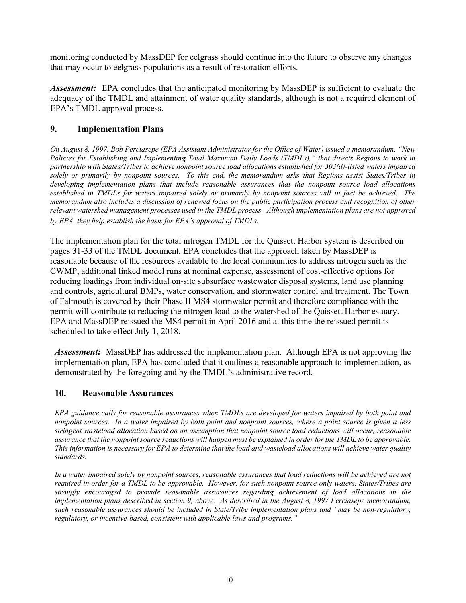monitoring conducted by MassDEP for eelgrass should continue into the future to observe any changes that may occur to eelgrass populations as a result of restoration efforts.

 *Assessment:* EPA concludes that the anticipated monitoring by MassDEP is sufficient to evaluate the adequacy of the TMDL and attainment of water quality standards, although is not a required element of EPA's TMDL approval process.

### **9. Implementation Plans**

memorandum also includes a discussion of renewed focus on the public participation process and recognition of other  *relevant watershed management processes used in the TMDL process. Although implementation plans are not approved On August 8, 1997, Bob Perciasepe (EPA Assistant Administrator for the Office of Water) issued a memorandum, "New Policies for Establishing and Implementing Total Maximum Daily Loads (TMDLs)," that directs Regions to work in partnership with States/Tribes to achieve nonpoint source load allocations established for 303(d)-listed waters impaired solely or primarily by nonpoint sources. To this end, the memorandum asks that Regions assist States/Tribes in developing implementation plans that include reasonable assurances that the nonpoint source load allocations established in TMDLs for waters impaired solely or primarily by nonpoint sources will in fact be achieved. The by EPA, they help establish the basis for EPA's approval of TMDLs.* 

 The implementation plan for the total nitrogen TMDL for the Quissett Harbor system is described on pages 31-33 of the TMDL document. EPA concludes that the approach taken by MassDEP is reasonable because of the resources available to the local communities to address nitrogen such as the CWMP, additional linked model runs at nominal expense, assessment of cost-effective options for reducing loadings from individual on-site subsurface wastewater disposal systems, land use planning and controls, agricultural BMPs, water conservation, and stormwater control and treatment. The Town of Falmouth is covered by their Phase II MS4 stormwater permit and therefore compliance with the permit will contribute to reducing the nitrogen load to the watershed of the Quissett Harbor estuary. EPA and MassDEP reissued the MS4 permit in April 2016 and at this time the reissued permit is scheduled to take effect July 1, 2018.

 *Assessment:* MassDEP has addressed the implementation plan. Although EPA is not approving the implementation plan, EPA has concluded that it outlines a reasonable approach to implementation, as demonstrated by the foregoing and by the TMDL's administrative record.

#### **10. Reasonable Assurances**

*EPA guidance calls for reasonable assurances when TMDLs are developed for waters impaired by both point and nonpoint sources. In a water impaired by both point and nonpoint sources, where a point source is given a less stringent wasteload allocation based on an assumption that nonpoint source load reductions will occur, reasonable assurance that the nonpoint source reductions will happen must be explained in order for the TMDL to be approvable. This information is necessary for EPA to determine that the load and wasteload allocations will achieve water quality standards.* 

 *implementation plans described in section 9, above. As described in the August 8, 1997 Perciasepe memorandum, In a water impaired solely by nonpoint sources, reasonable assurances that load reductions will be achieved are not required in order for a TMDL to be approvable. However, for such nonpoint source-only waters, States/Tribes are strongly encouraged to provide reasonable assurances regarding achievement of load allocations in the such reasonable assurances should be included in State/Tribe implementation plans and "may be non-regulatory, regulatory, or incentive-based, consistent with applicable laws and programs."*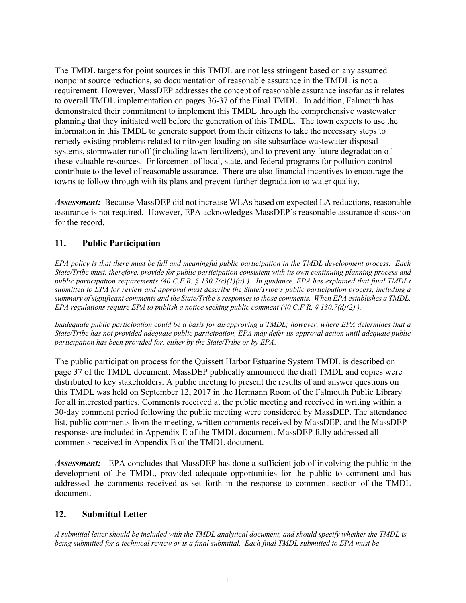these valuable resources. Enforcement of local, state, and federal programs for pollution control The TMDL targets for point sources in this TMDL are not less stringent based on any assumed nonpoint source reductions, so documentation of reasonable assurance in the TMDL is not a requirement. However, MassDEP addresses the concept of reasonable assurance insofar as it relates to overall TMDL implementation on pages 36-37 of the Final TMDL. In addition, Falmouth has demonstrated their commitment to implement this TMDL through the comprehensive wastewater planning that they initiated well before the generation of this TMDL. The town expects to use the information in this TMDL to generate support from their citizens to take the necessary steps to remedy existing problems related to nitrogen loading on-site subsurface wastewater disposal systems, stormwater runoff (including lawn fertilizers), and to prevent any future degradation of contribute to the level of reasonable assurance. There are also financial incentives to encourage the towns to follow through with its plans and prevent further degradation to water quality.

 *Assessment:* Because MassDEP did not increase WLAs based on expected LA reductions, reasonable assurance is not required. However, EPA acknowledges MassDEP's reasonable assurance discussion for the record.

### **11. Public Participation**

 *State/Tribe must, therefore, provide for public participation consistent with its own continuing planning process and submitted to EPA for review and approval must describe the State/Tribe's public participation process, including a EPA regulations require EPA to publish a notice seeking public comment (40 C.F.R. § 130.7(d)(2)). EPA policy is that there must be full and meaningful public participation in the TMDL development process. Each public participation requirements (40 C.F.R. § 130.7(c)(1)(ii) ). In guidance, EPA has explained that final TMDLs summary of significant comments and the State/Tribe's responses to those comments. When EPA establishes a TMDL,* 

 *participation has been provided for, either by the State/Tribe or by EPA*. *Inadequate public participation could be a basis for disapproving a TMDL; however, where EPA determines that a State/Tribe has not provided adequate public participation, EPA may defer its approval action until adequate public* 

The public participation process for the Quissett Harbor Estuarine System TMDL is described on page 37 of the TMDL document. MassDEP publically announced the draft TMDL and copies were distributed to key stakeholders. A public meeting to present the results of and answer questions on this TMDL was held on September 12, 2017 in the Hermann Room of the Falmouth Public Library for all interested parties. Comments received at the public meeting and received in writing within a 30-day comment period following the public meeting were considered by MassDEP. The attendance list, public comments from the meeting, written comments received by MassDEP, and the MassDEP responses are included in Appendix E of the TMDL document. MassDEP fully addressed all comments received in Appendix E of the TMDL document.

 *Assessment:* EPA concludes that MassDEP has done a sufficient job of involving the public in the development of the TMDL, provided adequate opportunities for the public to comment and has addressed the comments received as set forth in the response to comment section of the TMDL document.

### **12. Submittal Letter**

*A submittal letter should be included with the TMDL analytical document, and should specify whether the TMDL is being submitted for a technical review or is a final submittal. Each final TMDL submitted to EPA must be*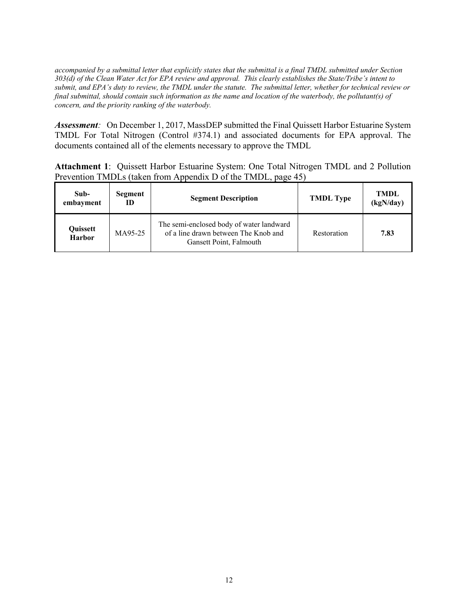*accompanied by a submittal letter that explicitly states that the submittal is a final TMDL submitted under Section 303(d) of the Clean Water Act for EPA review and approval. This clearly establishes the State/Tribe's intent to submit, and EPA's duty to review, the TMDL under the statute. The submittal letter, whether for technical review or final submittal, should contain such information as the name and location of the waterbody, the pollutant(s) of concern, and the priority ranking of the waterbody.* 

 *Assessment:* On December 1, 2017, MassDEP submitted the Final Quissett Harbor Estuarine System TMDL For Total Nitrogen (Control #374.1) and associated documents for EPA approval. The documents contained all of the elements necessary to approve the TMDL

 **Attachment 1**: Quissett Harbor Estuarine System: One Total Nitrogen TMDL and 2 Pollution Prevention TMDLs (taken from Appendix D of the TMDL, page 45)

| Sub-<br>embayment         | Segment<br>ID | <b>Segment Description</b>                                                                                  | <b>TMDL</b> Type | <b>TMDL</b><br>(kgN/day) |
|---------------------------|---------------|-------------------------------------------------------------------------------------------------------------|------------------|--------------------------|
| Quissett<br><b>Harbor</b> | MA95-25       | The semi-enclosed body of water landward<br>of a line drawn between The Knob and<br>Gansett Point, Falmouth | Restoration      | 7.83                     |